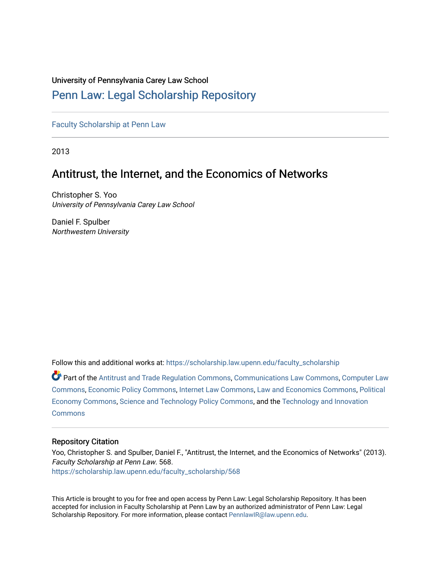## University of Pennsylvania Carey Law School

# [Penn Law: Legal Scholarship Repository](https://scholarship.law.upenn.edu/)

[Faculty Scholarship at Penn Law](https://scholarship.law.upenn.edu/faculty_scholarship)

2013

# Antitrust, the Internet, and the Economics of Networks

Christopher S. Yoo University of Pennsylvania Carey Law School

Daniel F. Spulber Northwestern University

Follow this and additional works at: [https://scholarship.law.upenn.edu/faculty\\_scholarship](https://scholarship.law.upenn.edu/faculty_scholarship?utm_source=scholarship.law.upenn.edu%2Ffaculty_scholarship%2F568&utm_medium=PDF&utm_campaign=PDFCoverPages) 

Part of the [Antitrust and Trade Regulation Commons,](http://network.bepress.com/hgg/discipline/911?utm_source=scholarship.law.upenn.edu%2Ffaculty_scholarship%2F568&utm_medium=PDF&utm_campaign=PDFCoverPages) [Communications Law Commons](http://network.bepress.com/hgg/discipline/587?utm_source=scholarship.law.upenn.edu%2Ffaculty_scholarship%2F568&utm_medium=PDF&utm_campaign=PDFCoverPages), [Computer Law](http://network.bepress.com/hgg/discipline/837?utm_source=scholarship.law.upenn.edu%2Ffaculty_scholarship%2F568&utm_medium=PDF&utm_campaign=PDFCoverPages)  [Commons](http://network.bepress.com/hgg/discipline/837?utm_source=scholarship.law.upenn.edu%2Ffaculty_scholarship%2F568&utm_medium=PDF&utm_campaign=PDFCoverPages), [Economic Policy Commons,](http://network.bepress.com/hgg/discipline/1025?utm_source=scholarship.law.upenn.edu%2Ffaculty_scholarship%2F568&utm_medium=PDF&utm_campaign=PDFCoverPages) [Internet Law Commons,](http://network.bepress.com/hgg/discipline/892?utm_source=scholarship.law.upenn.edu%2Ffaculty_scholarship%2F568&utm_medium=PDF&utm_campaign=PDFCoverPages) [Law and Economics Commons,](http://network.bepress.com/hgg/discipline/612?utm_source=scholarship.law.upenn.edu%2Ffaculty_scholarship%2F568&utm_medium=PDF&utm_campaign=PDFCoverPages) [Political](http://network.bepress.com/hgg/discipline/352?utm_source=scholarship.law.upenn.edu%2Ffaculty_scholarship%2F568&utm_medium=PDF&utm_campaign=PDFCoverPages)  [Economy Commons,](http://network.bepress.com/hgg/discipline/352?utm_source=scholarship.law.upenn.edu%2Ffaculty_scholarship%2F568&utm_medium=PDF&utm_campaign=PDFCoverPages) [Science and Technology Policy Commons,](http://network.bepress.com/hgg/discipline/1029?utm_source=scholarship.law.upenn.edu%2Ffaculty_scholarship%2F568&utm_medium=PDF&utm_campaign=PDFCoverPages) and the [Technology and Innovation](http://network.bepress.com/hgg/discipline/644?utm_source=scholarship.law.upenn.edu%2Ffaculty_scholarship%2F568&utm_medium=PDF&utm_campaign=PDFCoverPages) **[Commons](http://network.bepress.com/hgg/discipline/644?utm_source=scholarship.law.upenn.edu%2Ffaculty_scholarship%2F568&utm_medium=PDF&utm_campaign=PDFCoverPages)** 

#### Repository Citation

Yoo, Christopher S. and Spulber, Daniel F., "Antitrust, the Internet, and the Economics of Networks" (2013). Faculty Scholarship at Penn Law. 568. [https://scholarship.law.upenn.edu/faculty\\_scholarship/568](https://scholarship.law.upenn.edu/faculty_scholarship/568?utm_source=scholarship.law.upenn.edu%2Ffaculty_scholarship%2F568&utm_medium=PDF&utm_campaign=PDFCoverPages) 

This Article is brought to you for free and open access by Penn Law: Legal Scholarship Repository. It has been accepted for inclusion in Faculty Scholarship at Penn Law by an authorized administrator of Penn Law: Legal Scholarship Repository. For more information, please contact [PennlawIR@law.upenn.edu.](mailto:PennlawIR@law.upenn.edu)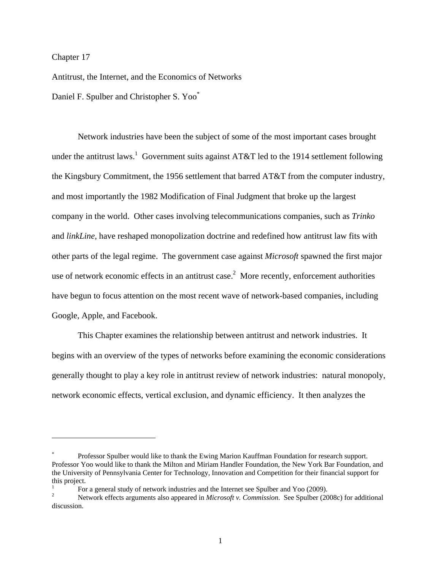## Chapter 17

 $\overline{a}$ 

Antitrust, the Internet, and the Economics of Networks Daniel F. Spulber and Christopher S. Yoo<sup>\*</sup>

 Network industries have been the subject of some of the most important cases brought under the antitrust laws.<sup>1</sup> Government suits against AT&T led to the 1914 settlement following the Kingsbury Commitment, the 1956 settlement that barred AT&T from the computer industry, and most importantly the 1982 Modification of Final Judgment that broke up the largest company in the world. Other cases involving telecommunications companies, such as *Trinko* and *linkLine*, have reshaped monopolization doctrine and redefined how antitrust law fits with other parts of the legal regime. The government case against *Microsoft* spawned the first major use of network economic effects in an antitrust case.<sup>2</sup> More recently, enforcement authorities have begun to focus attention on the most recent wave of network-based companies, including Google, Apple, and Facebook.

 This Chapter examines the relationship between antitrust and network industries. It begins with an overview of the types of networks before examining the economic considerations generally thought to play a key role in antitrust review of network industries: natural monopoly, network economic effects, vertical exclusion, and dynamic efficiency. It then analyzes the

<sup>\*</sup> Professor Spulber would like to thank the Ewing Marion Kauffman Foundation for research support. Professor Yoo would like to thank the Milton and Miriam Handler Foundation, the New York Bar Foundation, and the University of Pennsylvania Center for Technology, Innovation and Competition for their financial support for this project.

<sup>1</sup> For a general study of network industries and the Internet see Spulber and Yoo (2009). 2

Network effects arguments also appeared in *Microsoft v. Commission*. See Spulber (2008c) for additional discussion.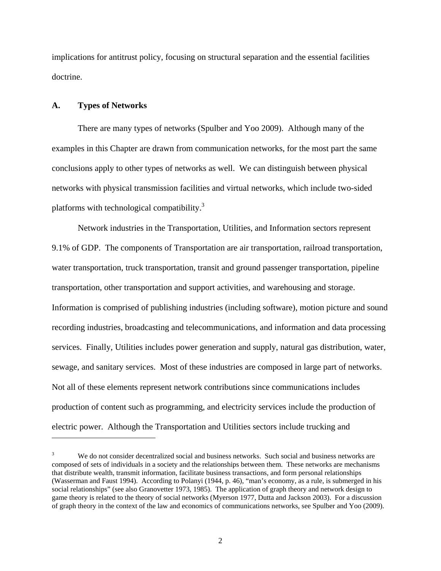implications for antitrust policy, focusing on structural separation and the essential facilities doctrine.

#### **A. Types of Networks**

1

 There are many types of networks (Spulber and Yoo 2009). Although many of the examples in this Chapter are drawn from communication networks, for the most part the same conclusions apply to other types of networks as well. We can distinguish between physical networks with physical transmission facilities and virtual networks, which include two-sided platforms with technological compatibility. $3$ 

 Network industries in the Transportation, Utilities, and Information sectors represent 9.1% of GDP. The components of Transportation are air transportation, railroad transportation, water transportation, truck transportation, transit and ground passenger transportation, pipeline transportation, other transportation and support activities, and warehousing and storage. Information is comprised of publishing industries (including software), motion picture and sound recording industries, broadcasting and telecommunications, and information and data processing services. Finally, Utilities includes power generation and supply, natural gas distribution, water, sewage, and sanitary services. Most of these industries are composed in large part of networks. Not all of these elements represent network contributions since communications includes production of content such as programming, and electricity services include the production of electric power. Although the Transportation and Utilities sectors include trucking and

<sup>3</sup> We do not consider decentralized social and business networks. Such social and business networks are composed of sets of individuals in a society and the relationships between them. These networks are mechanisms that distribute wealth, transmit information, facilitate business transactions, and form personal relationships (Wasserman and Faust 1994). According to Polanyi (1944, p. 46), "man's economy, as a rule, is submerged in his social relationships" (see also Granovetter 1973, 1985). The application of graph theory and network design to game theory is related to the theory of social networks (Myerson 1977, Dutta and Jackson 2003). For a discussion of graph theory in the context of the law and economics of communications networks, see Spulber and Yoo (2009).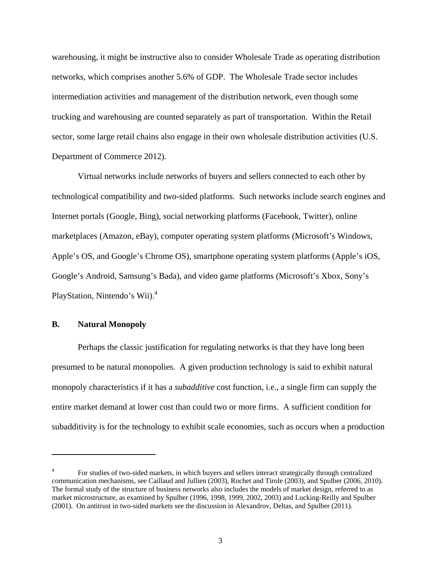warehousing, it might be instructive also to consider Wholesale Trade as operating distribution networks, which comprises another 5.6% of GDP. The Wholesale Trade sector includes intermediation activities and management of the distribution network, even though some trucking and warehousing are counted separately as part of transportation. Within the Retail sector, some large retail chains also engage in their own wholesale distribution activities (U.S. Department of Commerce 2012).

 Virtual networks include networks of buyers and sellers connected to each other by technological compatibility and two-sided platforms. Such networks include search engines and Internet portals (Google, Bing), social networking platforms (Facebook, Twitter), online marketplaces (Amazon, eBay), computer operating system platforms (Microsoft's Windows, Apple's OS, and Google's Chrome OS), smartphone operating system platforms (Apple's iOS, Google's Android, Samsung's Bada), and video game platforms (Microsoft's Xbox, Sony's PlayStation, Nintendo's Wii).<sup>4</sup>

## **B. Natural Monopoly**

 $\overline{a}$ 

 Perhaps the classic justification for regulating networks is that they have long been presumed to be natural monopolies. A given production technology is said to exhibit natural monopoly characteristics if it has a *subadditive* cost function, i.e., a single firm can supply the entire market demand at lower cost than could two or more firms. A sufficient condition for subadditivity is for the technology to exhibit scale economies, such as occurs when a production

<sup>4</sup> For studies of two-sided markets, in which buyers and sellers interact strategically through centralized communication mechanisms, see Caillaud and Jullien (2003), Rochet and Tirole (2003), and Spulber (2006, 2010). The formal study of the structure of business networks also includes the models of market design, referred to as market microstructure, as examined by Spulber (1996, 1998, 1999, 2002, 2003) and Lucking-Reilly and Spulber (2001). On antitrust in two-sided markets see the discussion in Alexandrov, Deltas, and Spulber (2011).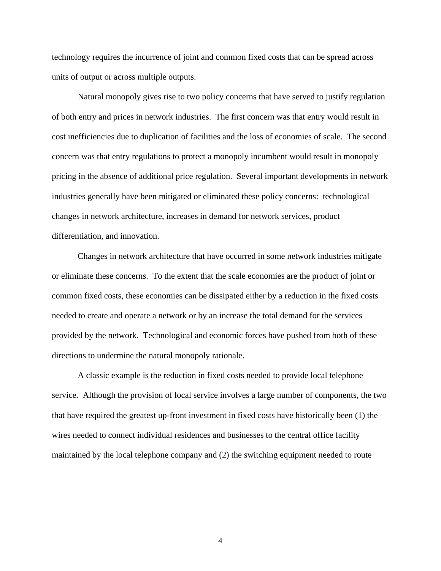technology requires the incurrence of joint and common fixed costs that can be spread across units of output or across multiple outputs.

 Natural monopoly gives rise to two policy concerns that have served to justify regulation of both entry and prices in network industries. The first concern was that entry would result in cost inefficiencies due to duplication of facilities and the loss of economies of scale. The second concern was that entry regulations to protect a monopoly incumbent would result in monopoly pricing in the absence of additional price regulation. Several important developments in network industries generally have been mitigated or eliminated these policy concerns: technological changes in network architecture, increases in demand for network services, product differentiation, and innovation.

 Changes in network architecture that have occurred in some network industries mitigate or eliminate these concerns. To the extent that the scale economies are the product of joint or common fixed costs, these economies can be dissipated either by a reduction in the fixed costs needed to create and operate a network or by an increase the total demand for the services provided by the network. Technological and economic forces have pushed from both of these directions to undermine the natural monopoly rationale.

 A classic example is the reduction in fixed costs needed to provide local telephone service. Although the provision of local service involves a large number of components, the two that have required the greatest up-front investment in fixed costs have historically been (1) the wires needed to connect individual residences and businesses to the central office facility maintained by the local telephone company and (2) the switching equipment needed to route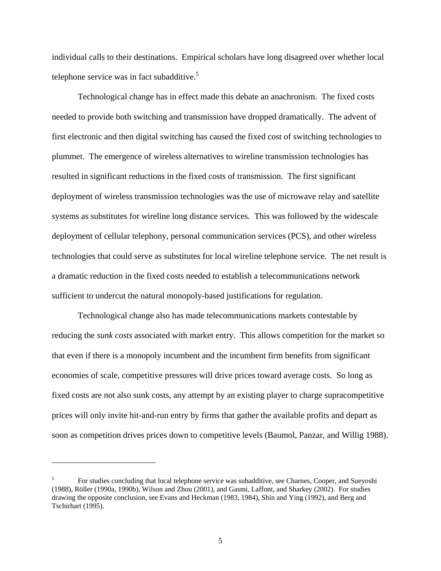individual calls to their destinations. Empirical scholars have long disagreed over whether local telephone service was in fact subadditive. $\frac{5}{5}$ 

 Technological change has in effect made this debate an anachronism. The fixed costs needed to provide both switching and transmission have dropped dramatically. The advent of first electronic and then digital switching has caused the fixed cost of switching technologies to plummet. The emergence of wireless alternatives to wireline transmission technologies has resulted in significant reductions in the fixed costs of transmission. The first significant deployment of wireless transmission technologies was the use of microwave relay and satellite systems as substitutes for wireline long distance services. This was followed by the widescale deployment of cellular telephony, personal communication services (PCS), and other wireless technologies that could serve as substitutes for local wireline telephone service. The net result is a dramatic reduction in the fixed costs needed to establish a telecommunications network sufficient to undercut the natural monopoly-based justifications for regulation.

 Technological change also has made telecommunications markets contestable by reducing the *sunk costs* associated with market entry. This allows competition for the market so that even if there is a monopoly incumbent and the incumbent firm benefits from significant economies of scale, competitive pressures will drive prices toward average costs. So long as fixed costs are not also sunk costs, any attempt by an existing player to charge supracompetitive prices will only invite hit-and-run entry by firms that gather the available profits and depart as soon as competition drives prices down to competitive levels (Baumol, Panzar, and Willig 1988).

 $\overline{a}$ 

<sup>5</sup> For studies concluding that local telephone service was subadditive, see Charnes, Cooper, and Sueyoshi (1988), Röller (1990a, 1990b), Wilson and Zhou (2001), and Gasmi, Laffont, and Sharkey (2002). For studies drawing the opposite conclusion, see Evans and Heckman (1983, 1984), Shin and Ying (1992), and Berg and Tschirhart (1995).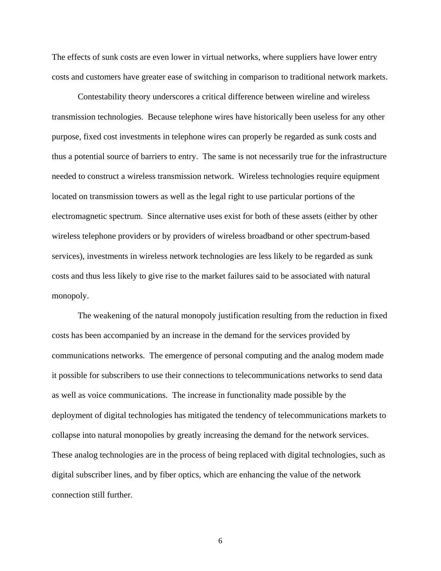The effects of sunk costs are even lower in virtual networks, where suppliers have lower entry costs and customers have greater ease of switching in comparison to traditional network markets.

 Contestability theory underscores a critical difference between wireline and wireless transmission technologies. Because telephone wires have historically been useless for any other purpose, fixed cost investments in telephone wires can properly be regarded as sunk costs and thus a potential source of barriers to entry. The same is not necessarily true for the infrastructure needed to construct a wireless transmission network. Wireless technologies require equipment located on transmission towers as well as the legal right to use particular portions of the electromagnetic spectrum. Since alternative uses exist for both of these assets (either by other wireless telephone providers or by providers of wireless broadband or other spectrum-based services), investments in wireless network technologies are less likely to be regarded as sunk costs and thus less likely to give rise to the market failures said to be associated with natural monopoly.

 The weakening of the natural monopoly justification resulting from the reduction in fixed costs has been accompanied by an increase in the demand for the services provided by communications networks. The emergence of personal computing and the analog modem made it possible for subscribers to use their connections to telecommunications networks to send data as well as voice communications. The increase in functionality made possible by the deployment of digital technologies has mitigated the tendency of telecommunications markets to collapse into natural monopolies by greatly increasing the demand for the network services. These analog technologies are in the process of being replaced with digital technologies, such as digital subscriber lines, and by fiber optics, which are enhancing the value of the network connection still further.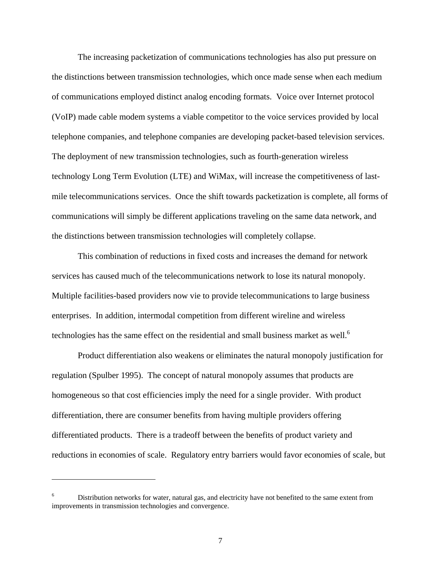The increasing packetization of communications technologies has also put pressure on the distinctions between transmission technologies, which once made sense when each medium of communications employed distinct analog encoding formats. Voice over Internet protocol (VoIP) made cable modem systems a viable competitor to the voice services provided by local telephone companies, and telephone companies are developing packet-based television services. The deployment of new transmission technologies, such as fourth-generation wireless technology Long Term Evolution (LTE) and WiMax, will increase the competitiveness of lastmile telecommunications services. Once the shift towards packetization is complete, all forms of communications will simply be different applications traveling on the same data network, and the distinctions between transmission technologies will completely collapse.

 This combination of reductions in fixed costs and increases the demand for network services has caused much of the telecommunications network to lose its natural monopoly. Multiple facilities-based providers now vie to provide telecommunications to large business enterprises. In addition, intermodal competition from different wireline and wireless technologies has the same effect on the residential and small business market as well.<sup>6</sup>

 Product differentiation also weakens or eliminates the natural monopoly justification for regulation (Spulber 1995). The concept of natural monopoly assumes that products are homogeneous so that cost efficiencies imply the need for a single provider. With product differentiation, there are consumer benefits from having multiple providers offering differentiated products. There is a tradeoff between the benefits of product variety and reductions in economies of scale. Regulatory entry barriers would favor economies of scale, but

<sup>6</sup> Distribution networks for water, natural gas, and electricity have not benefited to the same extent from improvements in transmission technologies and convergence.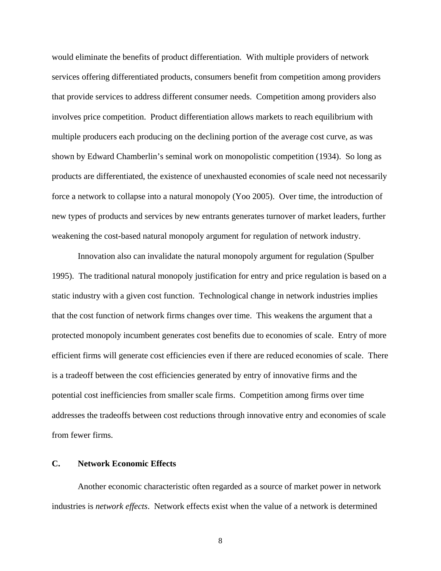would eliminate the benefits of product differentiation. With multiple providers of network services offering differentiated products, consumers benefit from competition among providers that provide services to address different consumer needs. Competition among providers also involves price competition. Product differentiation allows markets to reach equilibrium with multiple producers each producing on the declining portion of the average cost curve, as was shown by Edward Chamberlin's seminal work on monopolistic competition (1934). So long as products are differentiated, the existence of unexhausted economies of scale need not necessarily force a network to collapse into a natural monopoly (Yoo 2005). Over time, the introduction of new types of products and services by new entrants generates turnover of market leaders, further weakening the cost-based natural monopoly argument for regulation of network industry.

 Innovation also can invalidate the natural monopoly argument for regulation (Spulber 1995). The traditional natural monopoly justification for entry and price regulation is based on a static industry with a given cost function. Technological change in network industries implies that the cost function of network firms changes over time. This weakens the argument that a protected monopoly incumbent generates cost benefits due to economies of scale. Entry of more efficient firms will generate cost efficiencies even if there are reduced economies of scale. There is a tradeoff between the cost efficiencies generated by entry of innovative firms and the potential cost inefficiencies from smaller scale firms. Competition among firms over time addresses the tradeoffs between cost reductions through innovative entry and economies of scale from fewer firms.

## **C. Network Economic Effects**

 Another economic characteristic often regarded as a source of market power in network industries is *network effects*. Network effects exist when the value of a network is determined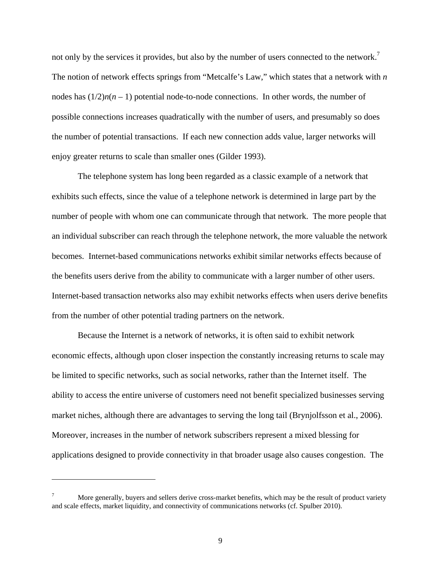not only by the services it provides, but also by the number of users connected to the network.<sup>7</sup> The notion of network effects springs from "Metcalfe's Law," which states that a network with *n* nodes has  $(1/2)n(n-1)$  potential node-to-node connections. In other words, the number of possible connections increases quadratically with the number of users, and presumably so does the number of potential transactions. If each new connection adds value, larger networks will enjoy greater returns to scale than smaller ones (Gilder 1993).

The telephone system has long been regarded as a classic example of a network that exhibits such effects, since the value of a telephone network is determined in large part by the number of people with whom one can communicate through that network. The more people that an individual subscriber can reach through the telephone network, the more valuable the network becomes. Internet-based communications networks exhibit similar networks effects because of the benefits users derive from the ability to communicate with a larger number of other users. Internet-based transaction networks also may exhibit networks effects when users derive benefits from the number of other potential trading partners on the network.

Because the Internet is a network of networks, it is often said to exhibit network economic effects, although upon closer inspection the constantly increasing returns to scale may be limited to specific networks, such as social networks, rather than the Internet itself. The ability to access the entire universe of customers need not benefit specialized businesses serving market niches, although there are advantages to serving the long tail (Brynjolfsson et al., 2006). Moreover, increases in the number of network subscribers represent a mixed blessing for applications designed to provide connectivity in that broader usage also causes congestion. The

<sup>7</sup> More generally, buyers and sellers derive cross-market benefits, which may be the result of product variety and scale effects, market liquidity, and connectivity of communications networks (cf. Spulber 2010).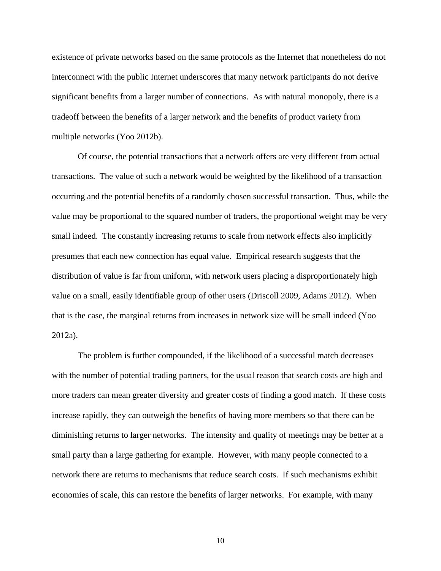existence of private networks based on the same protocols as the Internet that nonetheless do not interconnect with the public Internet underscores that many network participants do not derive significant benefits from a larger number of connections. As with natural monopoly, there is a tradeoff between the benefits of a larger network and the benefits of product variety from multiple networks (Yoo 2012b).

 Of course, the potential transactions that a network offers are very different from actual transactions. The value of such a network would be weighted by the likelihood of a transaction occurring and the potential benefits of a randomly chosen successful transaction. Thus, while the value may be proportional to the squared number of traders, the proportional weight may be very small indeed. The constantly increasing returns to scale from network effects also implicitly presumes that each new connection has equal value. Empirical research suggests that the distribution of value is far from uniform, with network users placing a disproportionately high value on a small, easily identifiable group of other users (Driscoll 2009, Adams 2012). When that is the case, the marginal returns from increases in network size will be small indeed (Yoo 2012a).

 The problem is further compounded, if the likelihood of a successful match decreases with the number of potential trading partners, for the usual reason that search costs are high and more traders can mean greater diversity and greater costs of finding a good match. If these costs increase rapidly, they can outweigh the benefits of having more members so that there can be diminishing returns to larger networks. The intensity and quality of meetings may be better at a small party than a large gathering for example. However, with many people connected to a network there are returns to mechanisms that reduce search costs. If such mechanisms exhibit economies of scale, this can restore the benefits of larger networks. For example, with many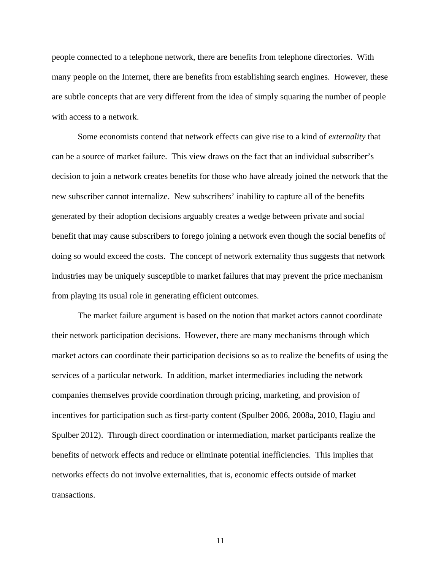people connected to a telephone network, there are benefits from telephone directories. With many people on the Internet, there are benefits from establishing search engines. However, these are subtle concepts that are very different from the idea of simply squaring the number of people with access to a network.

 Some economists contend that network effects can give rise to a kind of *externality* that can be a source of market failure. This view draws on the fact that an individual subscriber's decision to join a network creates benefits for those who have already joined the network that the new subscriber cannot internalize. New subscribers' inability to capture all of the benefits generated by their adoption decisions arguably creates a wedge between private and social benefit that may cause subscribers to forego joining a network even though the social benefits of doing so would exceed the costs. The concept of network externality thus suggests that network industries may be uniquely susceptible to market failures that may prevent the price mechanism from playing its usual role in generating efficient outcomes.

 The market failure argument is based on the notion that market actors cannot coordinate their network participation decisions. However, there are many mechanisms through which market actors can coordinate their participation decisions so as to realize the benefits of using the services of a particular network. In addition, market intermediaries including the network companies themselves provide coordination through pricing, marketing, and provision of incentives for participation such as first-party content (Spulber 2006, 2008a, 2010, Hagiu and Spulber 2012). Through direct coordination or intermediation, market participants realize the benefits of network effects and reduce or eliminate potential inefficiencies. This implies that networks effects do not involve externalities, that is, economic effects outside of market transactions.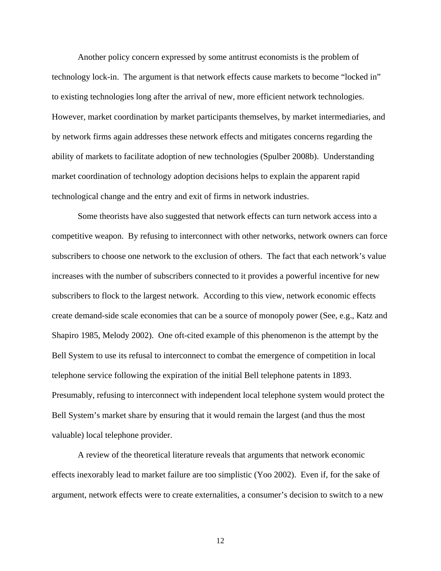Another policy concern expressed by some antitrust economists is the problem of technology lock-in. The argument is that network effects cause markets to become "locked in" to existing technologies long after the arrival of new, more efficient network technologies. However, market coordination by market participants themselves, by market intermediaries, and by network firms again addresses these network effects and mitigates concerns regarding the ability of markets to facilitate adoption of new technologies (Spulber 2008b). Understanding market coordination of technology adoption decisions helps to explain the apparent rapid technological change and the entry and exit of firms in network industries.

 Some theorists have also suggested that network effects can turn network access into a competitive weapon. By refusing to interconnect with other networks, network owners can force subscribers to choose one network to the exclusion of others. The fact that each network's value increases with the number of subscribers connected to it provides a powerful incentive for new subscribers to flock to the largest network. According to this view, network economic effects create demand-side scale economies that can be a source of monopoly power (See, e.g., Katz and Shapiro 1985, Melody 2002). One oft-cited example of this phenomenon is the attempt by the Bell System to use its refusal to interconnect to combat the emergence of competition in local telephone service following the expiration of the initial Bell telephone patents in 1893. Presumably, refusing to interconnect with independent local telephone system would protect the Bell System's market share by ensuring that it would remain the largest (and thus the most valuable) local telephone provider.

 A review of the theoretical literature reveals that arguments that network economic effects inexorably lead to market failure are too simplistic (Yoo 2002). Even if, for the sake of argument, network effects were to create externalities, a consumer's decision to switch to a new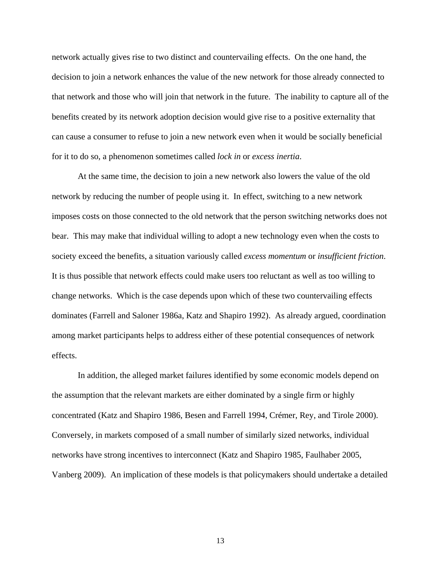network actually gives rise to two distinct and countervailing effects. On the one hand, the decision to join a network enhances the value of the new network for those already connected to that network and those who will join that network in the future. The inability to capture all of the benefits created by its network adoption decision would give rise to a positive externality that can cause a consumer to refuse to join a new network even when it would be socially beneficial for it to do so, a phenomenon sometimes called *lock in* or *excess inertia*.

 At the same time, the decision to join a new network also lowers the value of the old network by reducing the number of people using it. In effect, switching to a new network imposes costs on those connected to the old network that the person switching networks does not bear. This may make that individual willing to adopt a new technology even when the costs to society exceed the benefits, a situation variously called *excess momentum* or *insufficient friction*. It is thus possible that network effects could make users too reluctant as well as too willing to change networks. Which is the case depends upon which of these two countervailing effects dominates (Farrell and Saloner 1986a, Katz and Shapiro 1992). As already argued, coordination among market participants helps to address either of these potential consequences of network effects.

 In addition, the alleged market failures identified by some economic models depend on the assumption that the relevant markets are either dominated by a single firm or highly concentrated (Katz and Shapiro 1986, Besen and Farrell 1994, Crémer, Rey, and Tirole 2000). Conversely, in markets composed of a small number of similarly sized networks, individual networks have strong incentives to interconnect (Katz and Shapiro 1985, Faulhaber 2005, Vanberg 2009). An implication of these models is that policymakers should undertake a detailed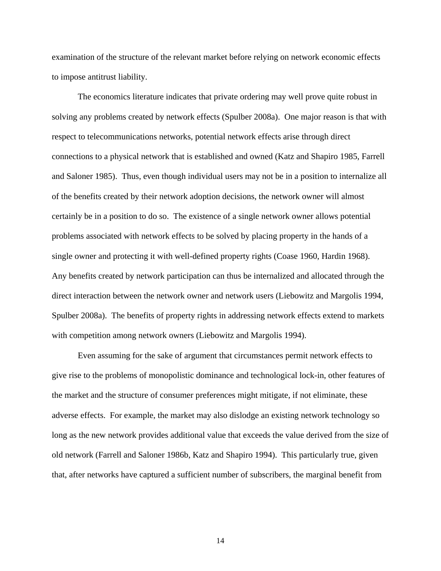examination of the structure of the relevant market before relying on network economic effects to impose antitrust liability.

 The economics literature indicates that private ordering may well prove quite robust in solving any problems created by network effects (Spulber 2008a). One major reason is that with respect to telecommunications networks, potential network effects arise through direct connections to a physical network that is established and owned (Katz and Shapiro 1985, Farrell and Saloner 1985). Thus, even though individual users may not be in a position to internalize all of the benefits created by their network adoption decisions, the network owner will almost certainly be in a position to do so. The existence of a single network owner allows potential problems associated with network effects to be solved by placing property in the hands of a single owner and protecting it with well-defined property rights (Coase 1960, Hardin 1968). Any benefits created by network participation can thus be internalized and allocated through the direct interaction between the network owner and network users (Liebowitz and Margolis 1994, Spulber 2008a). The benefits of property rights in addressing network effects extend to markets with competition among network owners (Liebowitz and Margolis 1994).

 Even assuming for the sake of argument that circumstances permit network effects to give rise to the problems of monopolistic dominance and technological lock-in, other features of the market and the structure of consumer preferences might mitigate, if not eliminate, these adverse effects. For example, the market may also dislodge an existing network technology so long as the new network provides additional value that exceeds the value derived from the size of old network (Farrell and Saloner 1986b, Katz and Shapiro 1994). This particularly true, given that, after networks have captured a sufficient number of subscribers, the marginal benefit from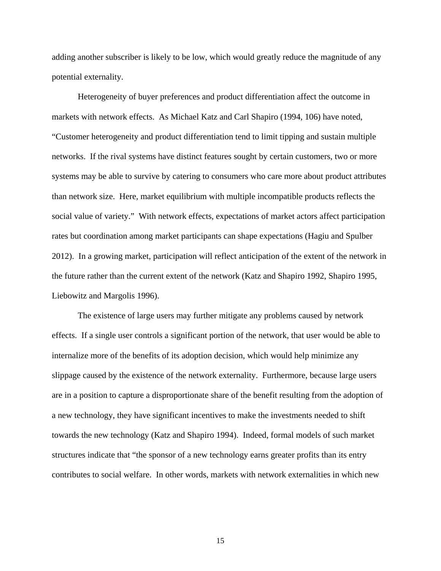adding another subscriber is likely to be low, which would greatly reduce the magnitude of any potential externality.

 Heterogeneity of buyer preferences and product differentiation affect the outcome in markets with network effects. As Michael Katz and Carl Shapiro (1994, 106) have noted, "Customer heterogeneity and product differentiation tend to limit tipping and sustain multiple networks. If the rival systems have distinct features sought by certain customers, two or more systems may be able to survive by catering to consumers who care more about product attributes than network size. Here, market equilibrium with multiple incompatible products reflects the social value of variety." With network effects, expectations of market actors affect participation rates but coordination among market participants can shape expectations (Hagiu and Spulber 2012). In a growing market, participation will reflect anticipation of the extent of the network in the future rather than the current extent of the network (Katz and Shapiro 1992, Shapiro 1995, Liebowitz and Margolis 1996).

 The existence of large users may further mitigate any problems caused by network effects. If a single user controls a significant portion of the network, that user would be able to internalize more of the benefits of its adoption decision, which would help minimize any slippage caused by the existence of the network externality. Furthermore, because large users are in a position to capture a disproportionate share of the benefit resulting from the adoption of a new technology, they have significant incentives to make the investments needed to shift towards the new technology (Katz and Shapiro 1994). Indeed, formal models of such market structures indicate that "the sponsor of a new technology earns greater profits than its entry contributes to social welfare. In other words, markets with network externalities in which new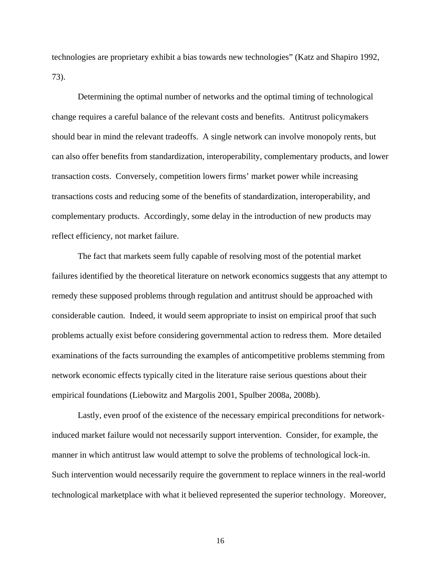technologies are proprietary exhibit a bias towards new technologies" (Katz and Shapiro 1992, 73).

 Determining the optimal number of networks and the optimal timing of technological change requires a careful balance of the relevant costs and benefits. Antitrust policymakers should bear in mind the relevant tradeoffs. A single network can involve monopoly rents, but can also offer benefits from standardization, interoperability, complementary products, and lower transaction costs. Conversely, competition lowers firms' market power while increasing transactions costs and reducing some of the benefits of standardization, interoperability, and complementary products. Accordingly, some delay in the introduction of new products may reflect efficiency, not market failure.

 The fact that markets seem fully capable of resolving most of the potential market failures identified by the theoretical literature on network economics suggests that any attempt to remedy these supposed problems through regulation and antitrust should be approached with considerable caution. Indeed, it would seem appropriate to insist on empirical proof that such problems actually exist before considering governmental action to redress them. More detailed examinations of the facts surrounding the examples of anticompetitive problems stemming from network economic effects typically cited in the literature raise serious questions about their empirical foundations (Liebowitz and Margolis 2001, Spulber 2008a, 2008b).

 Lastly, even proof of the existence of the necessary empirical preconditions for networkinduced market failure would not necessarily support intervention. Consider, for example, the manner in which antitrust law would attempt to solve the problems of technological lock-in. Such intervention would necessarily require the government to replace winners in the real-world technological marketplace with what it believed represented the superior technology. Moreover,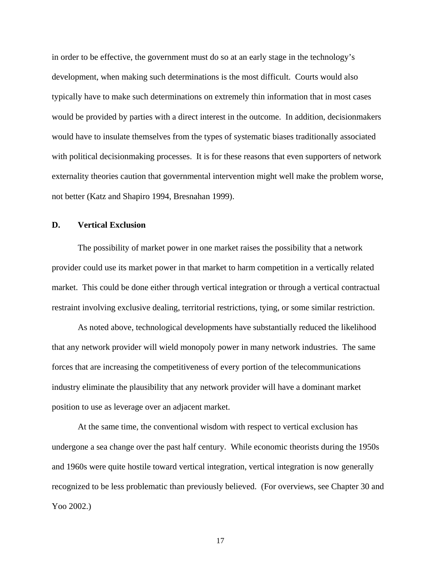in order to be effective, the government must do so at an early stage in the technology's development, when making such determinations is the most difficult. Courts would also typically have to make such determinations on extremely thin information that in most cases would be provided by parties with a direct interest in the outcome. In addition, decisionmakers would have to insulate themselves from the types of systematic biases traditionally associated with political decisionmaking processes. It is for these reasons that even supporters of network externality theories caution that governmental intervention might well make the problem worse, not better (Katz and Shapiro 1994, Bresnahan 1999).

#### **D. Vertical Exclusion**

 The possibility of market power in one market raises the possibility that a network provider could use its market power in that market to harm competition in a vertically related market. This could be done either through vertical integration or through a vertical contractual restraint involving exclusive dealing, territorial restrictions, tying, or some similar restriction.

 As noted above, technological developments have substantially reduced the likelihood that any network provider will wield monopoly power in many network industries. The same forces that are increasing the competitiveness of every portion of the telecommunications industry eliminate the plausibility that any network provider will have a dominant market position to use as leverage over an adjacent market.

 At the same time, the conventional wisdom with respect to vertical exclusion has undergone a sea change over the past half century. While economic theorists during the 1950s and 1960s were quite hostile toward vertical integration, vertical integration is now generally recognized to be less problematic than previously believed. (For overviews, see Chapter 30 and Yoo 2002.)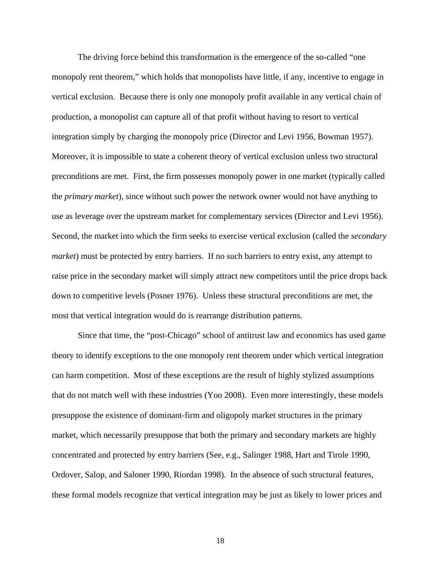The driving force behind this transformation is the emergence of the so-called "one monopoly rent theorem," which holds that monopolists have little, if any, incentive to engage in vertical exclusion. Because there is only one monopoly profit available in any vertical chain of production, a monopolist can capture all of that profit without having to resort to vertical integration simply by charging the monopoly price (Director and Levi 1956, Bowman 1957). Moreover, it is impossible to state a coherent theory of vertical exclusion unless two structural preconditions are met. First, the firm possesses monopoly power in one market (typically called the *primary market*), since without such power the network owner would not have anything to use as leverage over the upstream market for complementary services (Director and Levi 1956). Second, the market into which the firm seeks to exercise vertical exclusion (called the *secondary market*) must be protected by entry barriers. If no such barriers to entry exist, any attempt to raise price in the secondary market will simply attract new competitors until the price drops back down to competitive levels (Posner 1976). Unless these structural preconditions are met, the most that vertical integration would do is rearrange distribution patterns.

 Since that time, the "post-Chicago" school of antitrust law and economics has used game theory to identify exceptions to the one monopoly rent theorem under which vertical integration can harm competition. Most of these exceptions are the result of highly stylized assumptions that do not match well with these industries (Yoo 2008). Even more interestingly, these models presuppose the existence of dominant-firm and oligopoly market structures in the primary market, which necessarily presuppose that both the primary and secondary markets are highly concentrated and protected by entry barriers (See, e.g., Salinger 1988, Hart and Tirole 1990, Ordover, Salop, and Saloner 1990, Riordan 1998). In the absence of such structural features, these formal models recognize that vertical integration may be just as likely to lower prices and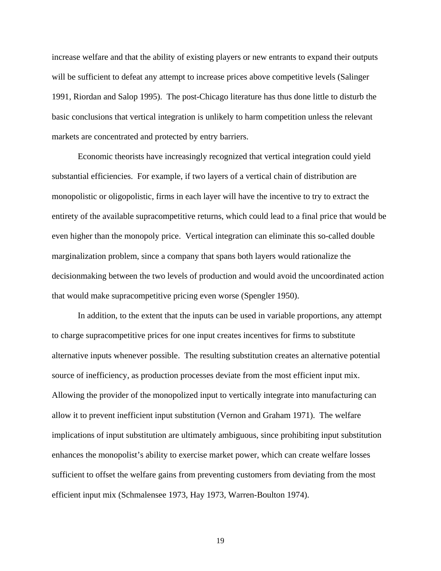increase welfare and that the ability of existing players or new entrants to expand their outputs will be sufficient to defeat any attempt to increase prices above competitive levels (Salinger 1991, Riordan and Salop 1995). The post-Chicago literature has thus done little to disturb the basic conclusions that vertical integration is unlikely to harm competition unless the relevant markets are concentrated and protected by entry barriers.

 Economic theorists have increasingly recognized that vertical integration could yield substantial efficiencies. For example, if two layers of a vertical chain of distribution are monopolistic or oligopolistic, firms in each layer will have the incentive to try to extract the entirety of the available supracompetitive returns, which could lead to a final price that would be even higher than the monopoly price. Vertical integration can eliminate this so-called double marginalization problem, since a company that spans both layers would rationalize the decisionmaking between the two levels of production and would avoid the uncoordinated action that would make supracompetitive pricing even worse (Spengler 1950).

 In addition, to the extent that the inputs can be used in variable proportions, any attempt to charge supracompetitive prices for one input creates incentives for firms to substitute alternative inputs whenever possible. The resulting substitution creates an alternative potential source of inefficiency, as production processes deviate from the most efficient input mix. Allowing the provider of the monopolized input to vertically integrate into manufacturing can allow it to prevent inefficient input substitution (Vernon and Graham 1971). The welfare implications of input substitution are ultimately ambiguous, since prohibiting input substitution enhances the monopolist's ability to exercise market power, which can create welfare losses sufficient to offset the welfare gains from preventing customers from deviating from the most efficient input mix (Schmalensee 1973, Hay 1973, Warren-Boulton 1974).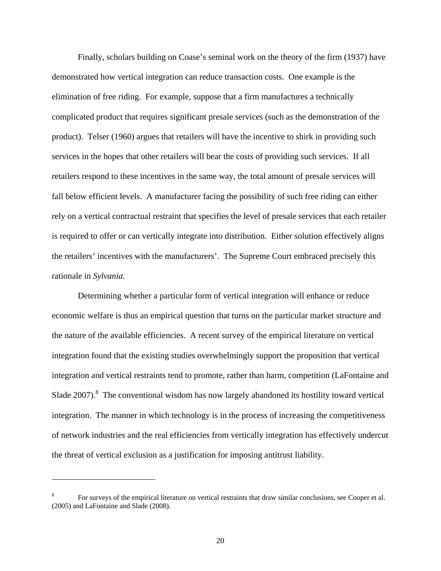Finally, scholars building on Coase's seminal work on the theory of the firm (1937) have demonstrated how vertical integration can reduce transaction costs. One example is the elimination of free riding. For example, suppose that a firm manufactures a technically complicated product that requires significant presale services (such as the demonstration of the product). Telser (1960) argues that retailers will have the incentive to shirk in providing such services in the hopes that other retailers will bear the costs of providing such services. If all retailers respond to these incentives in the same way, the total amount of presale services will fall below efficient levels. A manufacturer facing the possibility of such free riding can either rely on a vertical contractual restraint that specifies the level of presale services that each retailer is required to offer or can vertically integrate into distribution. Either solution effectively aligns the retailers' incentives with the manufacturers'. The Supreme Court embraced precisely this rationale in *Sylvania*.

 Determining whether a particular form of vertical integration will enhance or reduce economic welfare is thus an empirical question that turns on the particular market structure and the nature of the available efficiencies. A recent survey of the empirical literature on vertical integration found that the existing studies overwhelmingly support the proposition that vertical integration and vertical restraints tend to promote, rather than harm, competition (LaFontaine and Slade  $2007$ ).<sup>8</sup> The conventional wisdom has now largely abandoned its hostility toward vertical integration. The manner in which technology is in the process of increasing the competitiveness of network industries and the real efficiencies from vertically integration has effectively undercut the threat of vertical exclusion as a justification for imposing antitrust liability.

 $\overline{a}$ 

<sup>8</sup> For surveys of the empirical literature on vertical restraints that draw similar conclusions, see Cooper et al. (2005) and LaFontaine and Slade (2008).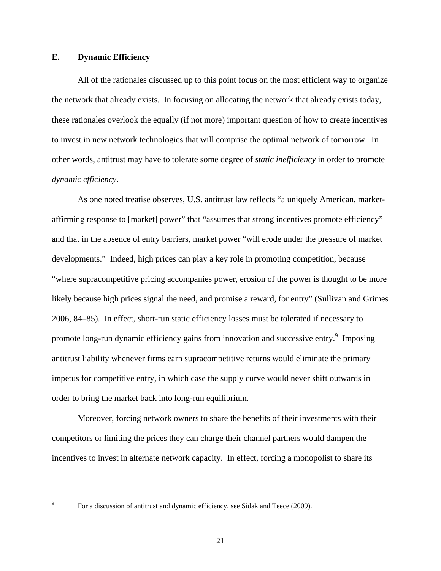### **E. Dynamic Efficiency**

 All of the rationales discussed up to this point focus on the most efficient way to organize the network that already exists. In focusing on allocating the network that already exists today, these rationales overlook the equally (if not more) important question of how to create incentives to invest in new network technologies that will comprise the optimal network of tomorrow. In other words, antitrust may have to tolerate some degree of *static inefficiency* in order to promote *dynamic efficiency*.

 As one noted treatise observes, U.S. antitrust law reflects "a uniquely American, marketaffirming response to [market] power" that "assumes that strong incentives promote efficiency" and that in the absence of entry barriers, market power "will erode under the pressure of market developments." Indeed, high prices can play a key role in promoting competition, because "where supracompetitive pricing accompanies power, erosion of the power is thought to be more likely because high prices signal the need, and promise a reward, for entry" (Sullivan and Grimes 2006, 84–85). In effect, short-run static efficiency losses must be tolerated if necessary to promote long-run dynamic efficiency gains from innovation and successive entry.<sup>9</sup> Imposing antitrust liability whenever firms earn supracompetitive returns would eliminate the primary impetus for competitive entry, in which case the supply curve would never shift outwards in order to bring the market back into long-run equilibrium.

 Moreover, forcing network owners to share the benefits of their investments with their competitors or limiting the prices they can charge their channel partners would dampen the incentives to invest in alternate network capacity. In effect, forcing a monopolist to share its

9

 $\overline{a}$ 

For a discussion of antitrust and dynamic efficiency, see Sidak and Teece (2009).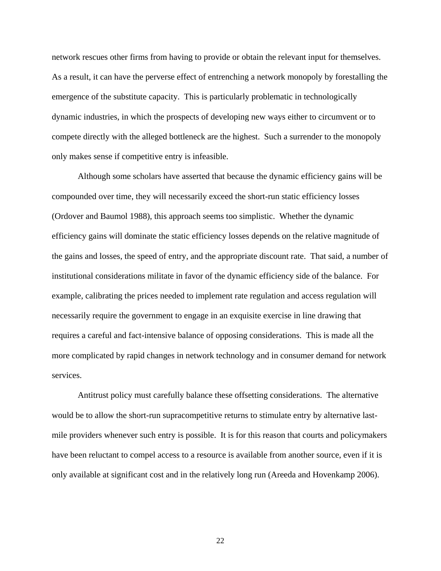network rescues other firms from having to provide or obtain the relevant input for themselves. As a result, it can have the perverse effect of entrenching a network monopoly by forestalling the emergence of the substitute capacity. This is particularly problematic in technologically dynamic industries, in which the prospects of developing new ways either to circumvent or to compete directly with the alleged bottleneck are the highest. Such a surrender to the monopoly only makes sense if competitive entry is infeasible.

 Although some scholars have asserted that because the dynamic efficiency gains will be compounded over time, they will necessarily exceed the short-run static efficiency losses (Ordover and Baumol 1988), this approach seems too simplistic. Whether the dynamic efficiency gains will dominate the static efficiency losses depends on the relative magnitude of the gains and losses, the speed of entry, and the appropriate discount rate. That said, a number of institutional considerations militate in favor of the dynamic efficiency side of the balance. For example, calibrating the prices needed to implement rate regulation and access regulation will necessarily require the government to engage in an exquisite exercise in line drawing that requires a careful and fact-intensive balance of opposing considerations. This is made all the more complicated by rapid changes in network technology and in consumer demand for network services.

 Antitrust policy must carefully balance these offsetting considerations. The alternative would be to allow the short-run supracompetitive returns to stimulate entry by alternative lastmile providers whenever such entry is possible. It is for this reason that courts and policymakers have been reluctant to compel access to a resource is available from another source, even if it is only available at significant cost and in the relatively long run (Areeda and Hovenkamp 2006).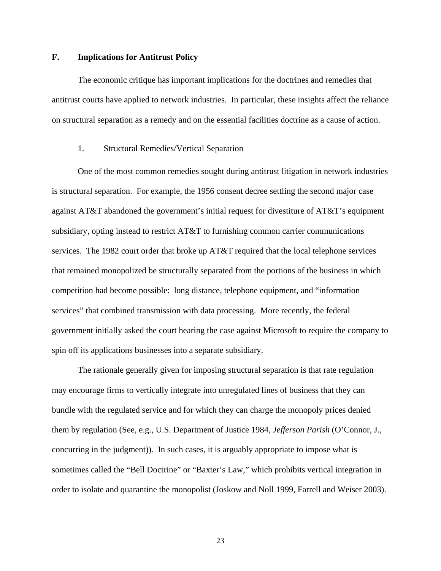### **F. Implications for Antitrust Policy**

 The economic critique has important implications for the doctrines and remedies that antitrust courts have applied to network industries. In particular, these insights affect the reliance on structural separation as a remedy and on the essential facilities doctrine as a cause of action.

#### 1. Structural Remedies/Vertical Separation

 One of the most common remedies sought during antitrust litigation in network industries is structural separation. For example, the 1956 consent decree settling the second major case against AT&T abandoned the government's initial request for divestiture of AT&T's equipment subsidiary, opting instead to restrict AT&T to furnishing common carrier communications services. The 1982 court order that broke up AT&T required that the local telephone services that remained monopolized be structurally separated from the portions of the business in which competition had become possible: long distance, telephone equipment, and "information services" that combined transmission with data processing. More recently, the federal government initially asked the court hearing the case against Microsoft to require the company to spin off its applications businesses into a separate subsidiary.

 The rationale generally given for imposing structural separation is that rate regulation may encourage firms to vertically integrate into unregulated lines of business that they can bundle with the regulated service and for which they can charge the monopoly prices denied them by regulation (See, e.g., U.S. Department of Justice 1984, *Jefferson Parish* (O'Connor, J., concurring in the judgment)). In such cases, it is arguably appropriate to impose what is sometimes called the "Bell Doctrine" or "Baxter's Law," which prohibits vertical integration in order to isolate and quarantine the monopolist (Joskow and Noll 1999, Farrell and Weiser 2003).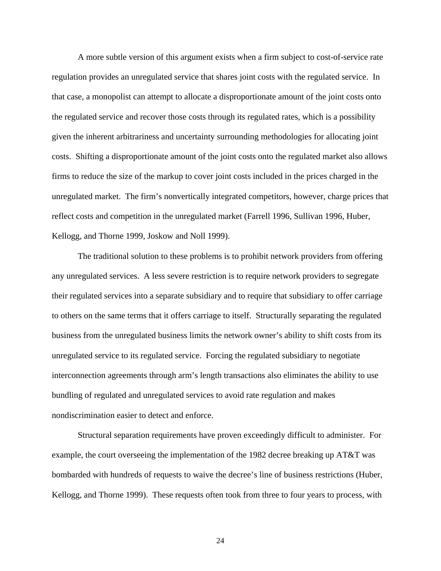A more subtle version of this argument exists when a firm subject to cost-of-service rate regulation provides an unregulated service that shares joint costs with the regulated service. In that case, a monopolist can attempt to allocate a disproportionate amount of the joint costs onto the regulated service and recover those costs through its regulated rates, which is a possibility given the inherent arbitrariness and uncertainty surrounding methodologies for allocating joint costs. Shifting a disproportionate amount of the joint costs onto the regulated market also allows firms to reduce the size of the markup to cover joint costs included in the prices charged in the unregulated market. The firm's nonvertically integrated competitors, however, charge prices that reflect costs and competition in the unregulated market (Farrell 1996, Sullivan 1996, Huber, Kellogg, and Thorne 1999, Joskow and Noll 1999).

 The traditional solution to these problems is to prohibit network providers from offering any unregulated services. A less severe restriction is to require network providers to segregate their regulated services into a separate subsidiary and to require that subsidiary to offer carriage to others on the same terms that it offers carriage to itself. Structurally separating the regulated business from the unregulated business limits the network owner's ability to shift costs from its unregulated service to its regulated service. Forcing the regulated subsidiary to negotiate interconnection agreements through arm's length transactions also eliminates the ability to use bundling of regulated and unregulated services to avoid rate regulation and makes nondiscrimination easier to detect and enforce.

 Structural separation requirements have proven exceedingly difficult to administer. For example, the court overseeing the implementation of the 1982 decree breaking up AT&T was bombarded with hundreds of requests to waive the decree's line of business restrictions (Huber, Kellogg, and Thorne 1999). These requests often took from three to four years to process, with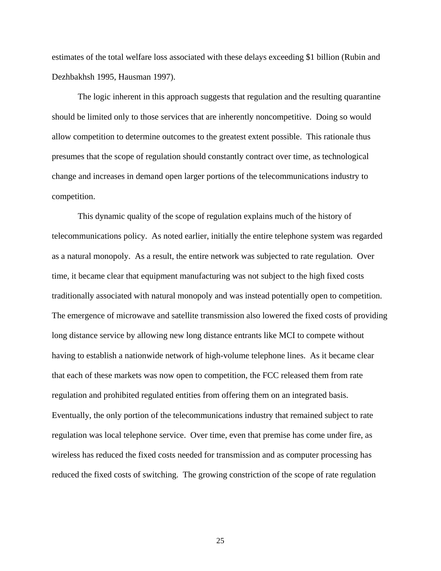estimates of the total welfare loss associated with these delays exceeding \$1 billion (Rubin and Dezhbakhsh 1995, Hausman 1997).

 The logic inherent in this approach suggests that regulation and the resulting quarantine should be limited only to those services that are inherently noncompetitive. Doing so would allow competition to determine outcomes to the greatest extent possible. This rationale thus presumes that the scope of regulation should constantly contract over time, as technological change and increases in demand open larger portions of the telecommunications industry to competition.

 This dynamic quality of the scope of regulation explains much of the history of telecommunications policy. As noted earlier, initially the entire telephone system was regarded as a natural monopoly. As a result, the entire network was subjected to rate regulation. Over time, it became clear that equipment manufacturing was not subject to the high fixed costs traditionally associated with natural monopoly and was instead potentially open to competition. The emergence of microwave and satellite transmission also lowered the fixed costs of providing long distance service by allowing new long distance entrants like MCI to compete without having to establish a nationwide network of high-volume telephone lines. As it became clear that each of these markets was now open to competition, the FCC released them from rate regulation and prohibited regulated entities from offering them on an integrated basis. Eventually, the only portion of the telecommunications industry that remained subject to rate regulation was local telephone service. Over time, even that premise has come under fire, as wireless has reduced the fixed costs needed for transmission and as computer processing has reduced the fixed costs of switching. The growing constriction of the scope of rate regulation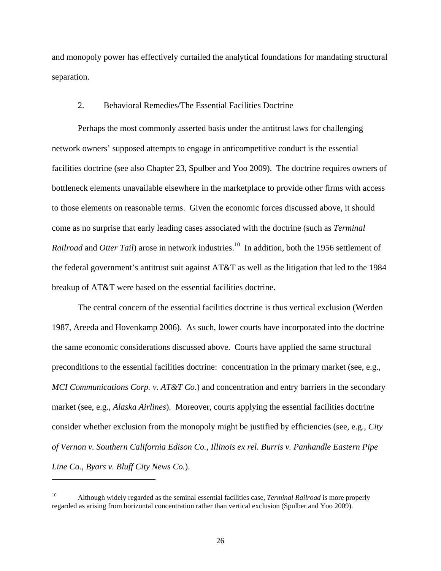and monopoly power has effectively curtailed the analytical foundations for mandating structural separation.

#### 2. Behavioral Remedies/The Essential Facilities Doctrine

 Perhaps the most commonly asserted basis under the antitrust laws for challenging network owners' supposed attempts to engage in anticompetitive conduct is the essential facilities doctrine (see also Chapter 23, Spulber and Yoo 2009). The doctrine requires owners of bottleneck elements unavailable elsewhere in the marketplace to provide other firms with access to those elements on reasonable terms. Given the economic forces discussed above, it should come as no surprise that early leading cases associated with the doctrine (such as *Terminal Railroad* and *Otter Tail*) arose in network industries.<sup>10</sup> In addition, both the 1956 settlement of the federal government's antitrust suit against AT&T as well as the litigation that led to the 1984 breakup of AT&T were based on the essential facilities doctrine.

 The central concern of the essential facilities doctrine is thus vertical exclusion (Werden 1987, Areeda and Hovenkamp 2006). As such, lower courts have incorporated into the doctrine the same economic considerations discussed above. Courts have applied the same structural preconditions to the essential facilities doctrine: concentration in the primary market (see, e.g., *MCI Communications Corp. v. AT&T Co.*) and concentration and entry barriers in the secondary market (see, e.g., *Alaska Airlines*). Moreover, courts applying the essential facilities doctrine consider whether exclusion from the monopoly might be justified by efficiencies (see, e.g., *City of Vernon v. Southern California Edison Co.*, *Illinois ex rel. Burris v. Panhandle Eastern Pipe Line Co.*, *Byars v. Bluff City News Co.*).

 $\overline{a}$ 

<sup>10</sup> Although widely regarded as the seminal essential facilities case, *Terminal Railroad* is more properly regarded as arising from horizontal concentration rather than vertical exclusion (Spulber and Yoo 2009).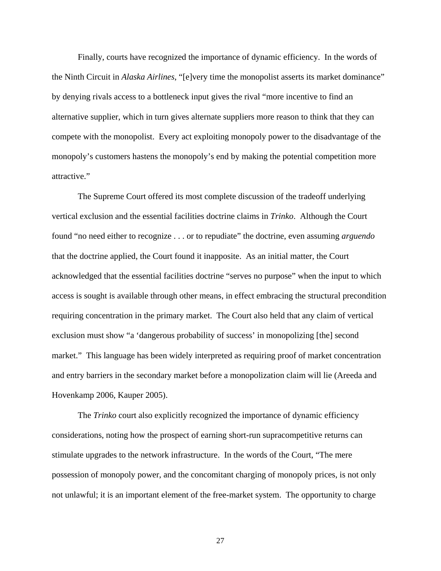Finally, courts have recognized the importance of dynamic efficiency. In the words of the Ninth Circuit in *Alaska Airlines*, "[e]very time the monopolist asserts its market dominance" by denying rivals access to a bottleneck input gives the rival "more incentive to find an alternative supplier, which in turn gives alternate suppliers more reason to think that they can compete with the monopolist. Every act exploiting monopoly power to the disadvantage of the monopoly's customers hastens the monopoly's end by making the potential competition more attractive."

 The Supreme Court offered its most complete discussion of the tradeoff underlying vertical exclusion and the essential facilities doctrine claims in *Trinko*. Although the Court found "no need either to recognize . . . or to repudiate" the doctrine, even assuming *arguendo* that the doctrine applied, the Court found it inapposite. As an initial matter, the Court acknowledged that the essential facilities doctrine "serves no purpose" when the input to which access is sought is available through other means, in effect embracing the structural precondition requiring concentration in the primary market. The Court also held that any claim of vertical exclusion must show "a 'dangerous probability of success' in monopolizing [the] second market." This language has been widely interpreted as requiring proof of market concentration and entry barriers in the secondary market before a monopolization claim will lie (Areeda and Hovenkamp 2006, Kauper 2005).

 The *Trinko* court also explicitly recognized the importance of dynamic efficiency considerations, noting how the prospect of earning short-run supracompetitive returns can stimulate upgrades to the network infrastructure. In the words of the Court, "The mere possession of monopoly power, and the concomitant charging of monopoly prices, is not only not unlawful; it is an important element of the free-market system. The opportunity to charge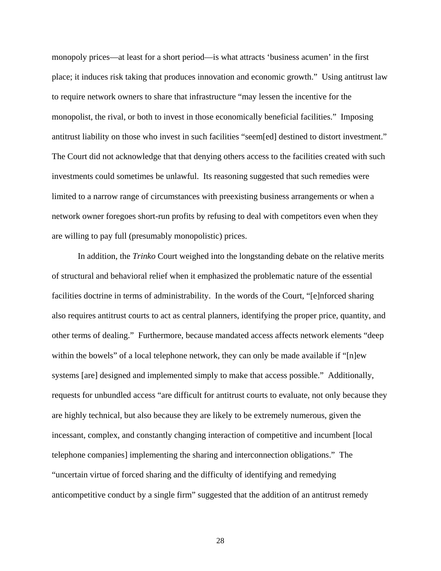monopoly prices—at least for a short period—is what attracts 'business acumen' in the first place; it induces risk taking that produces innovation and economic growth." Using antitrust law to require network owners to share that infrastructure "may lessen the incentive for the monopolist, the rival, or both to invest in those economically beneficial facilities." Imposing antitrust liability on those who invest in such facilities "seem[ed] destined to distort investment." The Court did not acknowledge that that denying others access to the facilities created with such investments could sometimes be unlawful. Its reasoning suggested that such remedies were limited to a narrow range of circumstances with preexisting business arrangements or when a network owner foregoes short-run profits by refusing to deal with competitors even when they are willing to pay full (presumably monopolistic) prices.

 In addition, the *Trinko* Court weighed into the longstanding debate on the relative merits of structural and behavioral relief when it emphasized the problematic nature of the essential facilities doctrine in terms of administrability. In the words of the Court, "[e]nforced sharing also requires antitrust courts to act as central planners, identifying the proper price, quantity, and other terms of dealing." Furthermore, because mandated access affects network elements "deep within the bowels" of a local telephone network, they can only be made available if "[n]ew systems [are] designed and implemented simply to make that access possible." Additionally, requests for unbundled access "are difficult for antitrust courts to evaluate, not only because they are highly technical, but also because they are likely to be extremely numerous, given the incessant, complex, and constantly changing interaction of competitive and incumbent [local telephone companies] implementing the sharing and interconnection obligations." The "uncertain virtue of forced sharing and the difficulty of identifying and remedying anticompetitive conduct by a single firm" suggested that the addition of an antitrust remedy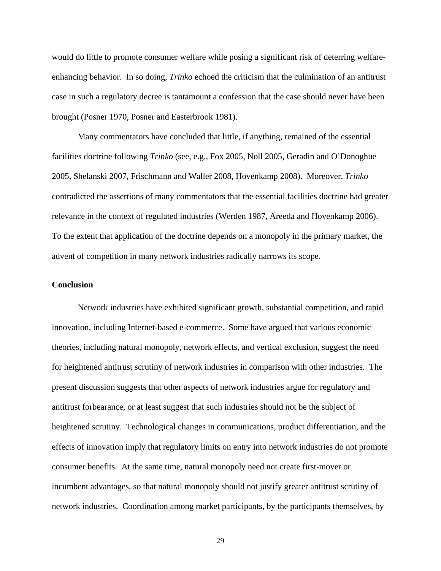would do little to promote consumer welfare while posing a significant risk of deterring welfareenhancing behavior. In so doing, *Trinko* echoed the criticism that the culmination of an antitrust case in such a regulatory decree is tantamount a confession that the case should never have been brought (Posner 1970, Posner and Easterbrook 1981).

 Many commentators have concluded that little, if anything, remained of the essential facilities doctrine following *Trinko* (see, e.g., Fox 2005, Noll 2005, Geradin and O'Donoghue 2005, Shelanski 2007, Frischmann and Waller 2008, Hovenkamp 2008). Moreover, *Trinko* contradicted the assertions of many commentators that the essential facilities doctrine had greater relevance in the context of regulated industries (Werden 1987, Areeda and Hovenkamp 2006). To the extent that application of the doctrine depends on a monopoly in the primary market, the advent of competition in many network industries radically narrows its scope.

#### **Conclusion**

 Network industries have exhibited significant growth, substantial competition, and rapid innovation, including Internet-based e-commerce. Some have argued that various economic theories, including natural monopoly, network effects, and vertical exclusion, suggest the need for heightened antitrust scrutiny of network industries in comparison with other industries. The present discussion suggests that other aspects of network industries argue for regulatory and antitrust forbearance, or at least suggest that such industries should not be the subject of heightened scrutiny. Technological changes in communications, product differentiation, and the effects of innovation imply that regulatory limits on entry into network industries do not promote consumer benefits. At the same time, natural monopoly need not create first-mover or incumbent advantages, so that natural monopoly should not justify greater antitrust scrutiny of network industries. Coordination among market participants, by the participants themselves, by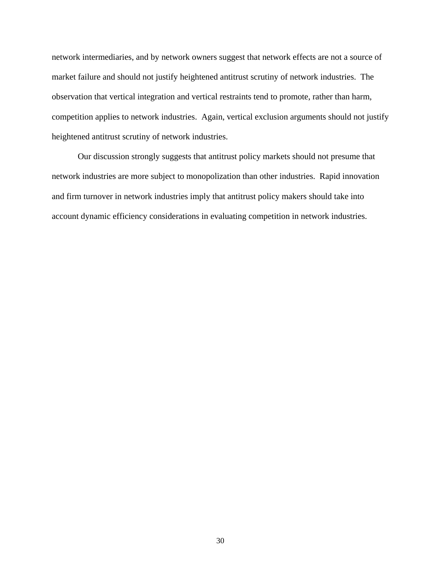network intermediaries, and by network owners suggest that network effects are not a source of market failure and should not justify heightened antitrust scrutiny of network industries. The observation that vertical integration and vertical restraints tend to promote, rather than harm, competition applies to network industries. Again, vertical exclusion arguments should not justify heightened antitrust scrutiny of network industries.

 Our discussion strongly suggests that antitrust policy markets should not presume that network industries are more subject to monopolization than other industries. Rapid innovation and firm turnover in network industries imply that antitrust policy makers should take into account dynamic efficiency considerations in evaluating competition in network industries.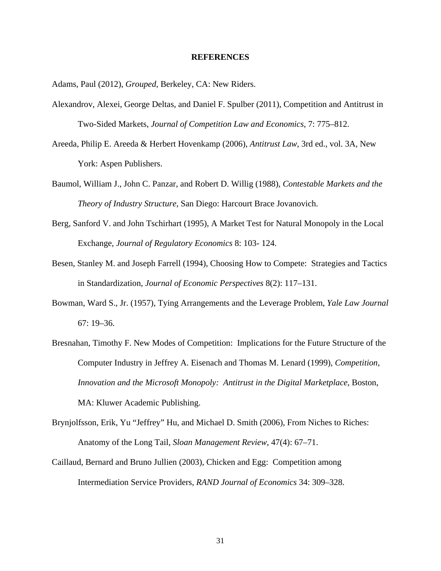#### **REFERENCES**

Adams, Paul (2012), *Grouped*, Berkeley, CA: New Riders.

- Alexandrov, Alexei, George Deltas, and Daniel F. Spulber (2011), Competition and Antitrust in Two-Sided Markets, *Journal of Competition Law and Economics*, 7: 775–812.
- Areeda, Philip E. Areeda & Herbert Hovenkamp (2006), *Antitrust Law*, 3rd ed., vol. 3A, New York: Aspen Publishers.
- Baumol, William J., John C. Panzar, and Robert D. Willig (1988), *Contestable Markets and the Theory of Industry Structure*, San Diego: Harcourt Brace Jovanovich.
- Berg, Sanford V. and John Tschirhart (1995), A Market Test for Natural Monopoly in the Local Exchange, *Journal of Regulatory Economics* 8: 103- 124.
- Besen, Stanley M. and Joseph Farrell (1994), Choosing How to Compete: Strategies and Tactics in Standardization, *Journal of Economic Perspectives* 8(2): 117–131.
- Bowman, Ward S., Jr. (1957), Tying Arrangements and the Leverage Problem, *Yale Law Journal* 67: 19–36.
- Bresnahan, Timothy F. New Modes of Competition: Implications for the Future Structure of the Computer Industry in Jeffrey A. Eisenach and Thomas M. Lenard (1999), *Competition, Innovation and the Microsoft Monopoly: Antitrust in the Digital Marketplace*, Boston, MA: Kluwer Academic Publishing.
- Brynjolfsson, Erik, Yu "Jeffrey" Hu, and Michael D. Smith (2006), From Niches to Riches: Anatomy of the Long Tail, *Sloan Management Review*, 47(4): 67–71.
- Caillaud, Bernard and Bruno Jullien (2003), Chicken and Egg: Competition among Intermediation Service Providers, *RAND Journal of Economics* 34: 309–328.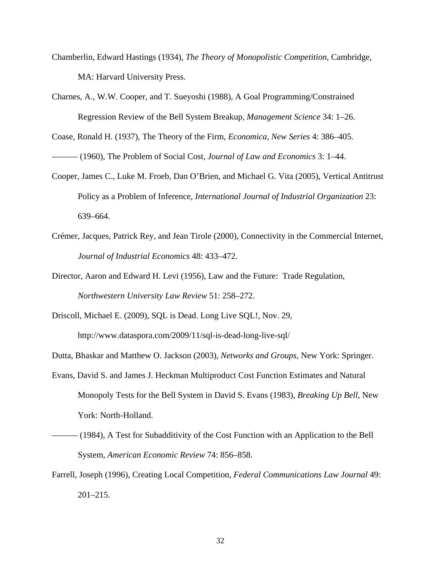- Chamberlin, Edward Hastings (1934), *The Theory of Monopolistic Competition*, Cambridge, MA: Harvard University Press.
- Charnes, A., W.W. Cooper, and T. Sueyoshi (1988), A Goal Programming/Constrained Regression Review of the Bell System Breakup, *Management Science* 34: 1–26.

Coase, Ronald H. (1937), The Theory of the Firm, *Economica, New Series* 4: 386–405.

——— (1960), The Problem of Social Cost, *Journal of Law and Economics* 3: 1–44.

- Cooper, James C., Luke M. Froeb, Dan O'Brien, and Michael G. Vita (2005), Vertical Antitrust Policy as a Problem of Inference, *International Journal of Industrial Organization* 23: 639–664.
- Crémer, Jacques, Patrick Rey, and Jean Tirole (2000), Connectivity in the Commercial Internet, *Journal of Industrial Economics* 48: 433–472.

Director, Aaron and Edward H. Levi (1956), Law and the Future: Trade Regulation, *Northwestern University Law Review* 51: 258–272.

Driscoll, Michael E. (2009), SQL is Dead. Long Live SQL!, Nov. 29, http://www.dataspora.com/2009/11/sql-is-dead-long-live-sql/

Dutta, Bhaskar and Matthew O. Jackson (2003), *Networks and Groups*, New York: Springer.

- Evans, David S. and James J. Heckman Multiproduct Cost Function Estimates and Natural Monopoly Tests for the Bell System in David S. Evans (1983), *Breaking Up Bell*, New York: North-Holland.
- (1984), A Test for Subadditivity of the Cost Function with an Application to the Bell System, *American Economic Review* 74: 856–858.
- Farrell, Joseph (1996), Creating Local Competition, *Federal Communications Law Journal* 49: 201–215.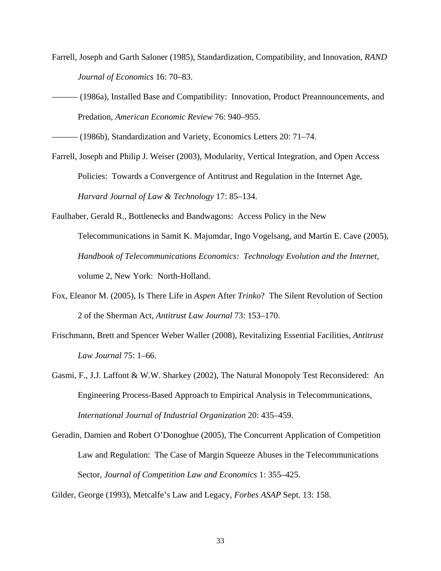- Farrell, Joseph and Garth Saloner (1985), Standardization, Compatibility, and Innovation, *RAND Journal of Economics* 16: 70–83.
- $-$  (1986a), Installed Base and Compatibility: Innovation, Product Preannouncements, and Predation, *American Economic Review* 76: 940–955.

——— (1986b), Standardization and Variety, Economics Letters 20: 71–74.

Farrell, Joseph and Philip J. Weiser (2003), Modularity, Vertical Integration, and Open Access Policies: Towards a Convergence of Antitrust and Regulation in the Internet Age, *Harvard Journal of Law & Technology* 17: 85–134.

Faulhaber, Gerald R., Bottlenecks and Bandwagons: Access Policy in the New

Telecommunications in Samit K. Majumdar, Ingo Vogelsang, and Martin E. Cave (2005), *Handbook of Telecommunications Economics: Technology Evolution and the Internet*, volume 2, New York: North-Holland.

- Fox, Eleanor M. (2005), Is There Life in *Aspen* After *Trinko*? The Silent Revolution of Section 2 of the Sherman Act, *Antitrust Law Journal* 73: 153–170.
- Frischmann, Brett and Spencer Weber Waller (2008), Revitalizing Essential Facilities, *Antitrust Law Journal* 75: 1–66.
- Gasmi, F., J.J. Laffont & W.W. Sharkey (2002), The Natural Monopoly Test Reconsidered: An Engineering Process-Based Approach to Empirical Analysis in Telecommunications, *International Journal of Industrial Organization* 20: 435–459.
- Geradin, Damien and Robert O'Donoghue (2005), The Concurrent Application of Competition Law and Regulation: The Case of Margin Squeeze Abuses in the Telecommunications Sector, *Journal of Competition Law and Economics* 1: 355–425.

Gilder, George (1993), Metcalfe's Law and Legacy, *Forbes ASAP* Sept. 13: 158.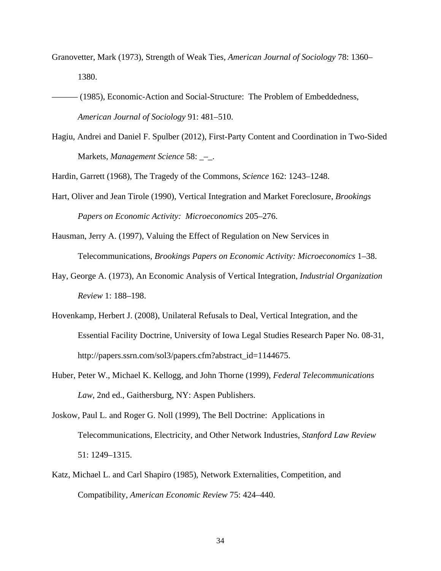- Granovetter, Mark (1973), Strength of Weak Ties, *American Journal of Sociology* 78: 1360– 1380.
- ——— (1985), Economic-Action and Social-Structure: The Problem of Embeddedness, *American Journal of Sociology* 91: 481–510.
- Hagiu, Andrei and Daniel F. Spulber (2012), First-Party Content and Coordination in Two-Sided Markets, *Management Science* 58: \_–\_.

Hardin, Garrett (1968), The Tragedy of the Commons, *Science* 162: 1243–1248.

- Hart, Oliver and Jean Tirole (1990), Vertical Integration and Market Foreclosure, *Brookings Papers on Economic Activity: Microeconomics* 205–276.
- Hausman, Jerry A. (1997), Valuing the Effect of Regulation on New Services in Telecommunications, *Brookings Papers on Economic Activity: Microeconomics* 1–38.
- Hay, George A. (1973), An Economic Analysis of Vertical Integration, *Industrial Organization Review* 1: 188–198.
- Hovenkamp, Herbert J. (2008), Unilateral Refusals to Deal, Vertical Integration, and the Essential Facility Doctrine, University of Iowa Legal Studies Research Paper No. 08-31, http://papers.ssrn.com/sol3/papers.cfm?abstract\_id=1144675.
- Huber, Peter W., Michael K. Kellogg, and John Thorne (1999), *Federal Telecommunications Law*, 2nd ed., Gaithersburg, NY: Aspen Publishers.
- Joskow, Paul L. and Roger G. Noll (1999), The Bell Doctrine: Applications in Telecommunications, Electricity, and Other Network Industries, *Stanford Law Review* 51: 1249–1315.
- Katz, Michael L. and Carl Shapiro (1985), Network Externalities, Competition, and Compatibility, *American Economic Review* 75: 424–440.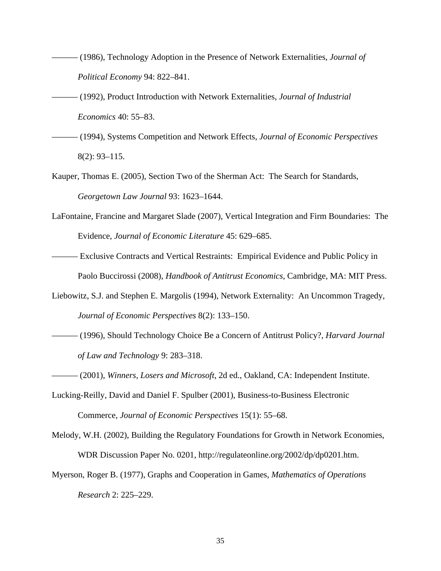- $-$  (1986), Technology Adoption in the Presence of Network Externalities, *Journal of Political Economy* 94: 822–841.
- ——— (1992), Product Introduction with Network Externalities, *Journal of Industrial Economics* 40: 55–83.
- ——— (1994), Systems Competition and Network Effects, *Journal of Economic Perspectives* 8(2): 93–115.
- Kauper, Thomas E. (2005), Section Two of the Sherman Act: The Search for Standards, *Georgetown Law Journal* 93: 1623–1644.
- LaFontaine, Francine and Margaret Slade (2007), Vertical Integration and Firm Boundaries: The Evidence, *Journal of Economic Literature* 45: 629–685.
- ——— Exclusive Contracts and Vertical Restraints: Empirical Evidence and Public Policy in Paolo Buccirossi (2008), *Handbook of Antitrust Economics*, Cambridge, MA: MIT Press.
- Liebowitz, S.J. and Stephen E. Margolis (1994), Network Externality: An Uncommon Tragedy, *Journal of Economic Perspectives* 8(2): 133–150.
- ——— (1996), Should Technology Choice Be a Concern of Antitrust Policy?, *Harvard Journal of Law and Technology* 9: 283–318.
- ——— (2001), *Winners, Losers and Microsoft*, 2d ed., Oakland, CA: Independent Institute.
- Lucking-Reilly, David and Daniel F. Spulber (2001), Business-to-Business Electronic Commerce, *Journal of Economic Perspectives* 15(1): 55–68.
- Melody, W.H. (2002), Building the Regulatory Foundations for Growth in Network Economies, WDR Discussion Paper No. 0201, http://regulateonline.org/2002/dp/dp0201.htm.
- Myerson, Roger B. (1977), Graphs and Cooperation in Games, *Mathematics of Operations Research* 2: 225–229.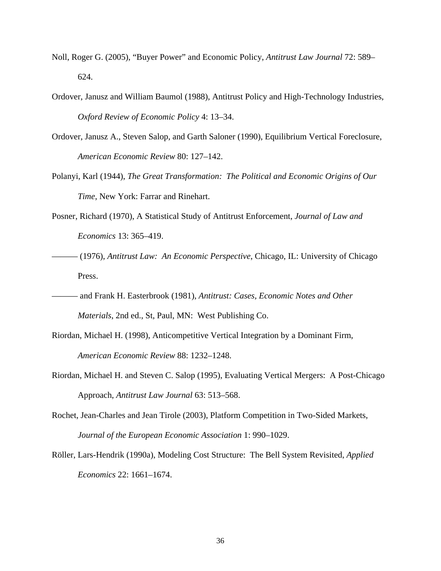- Noll, Roger G. (2005), "Buyer Power" and Economic Policy, *Antitrust Law Journal* 72: 589– 624.
- Ordover, Janusz and William Baumol (1988), Antitrust Policy and High-Technology Industries, *Oxford Review of Economic Policy* 4: 13–34.
- Ordover, Janusz A., Steven Salop, and Garth Saloner (1990), Equilibrium Vertical Foreclosure, *American Economic Review* 80: 127–142.
- Polanyi, Karl (1944), *The Great Transformation: The Political and Economic Origins of Our Time*, New York: Farrar and Rinehart.
- Posner, Richard (1970), A Statistical Study of Antitrust Enforcement, *Journal of Law and Economics* 13: 365–419.
- ——— (1976), *Antitrust Law: An Economic Perspective*, Chicago, IL: University of Chicago Press.
- ——— and Frank H. Easterbrook (1981), *Antitrust: Cases, Economic Notes and Other Materials*, 2nd ed., St, Paul, MN: West Publishing Co.
- Riordan, Michael H. (1998), Anticompetitive Vertical Integration by a Dominant Firm, *American Economic Review* 88: 1232–1248.
- Riordan, Michael H. and Steven C. Salop (1995), Evaluating Vertical Mergers: A Post-Chicago Approach, *Antitrust Law Journal* 63: 513–568.
- Rochet, Jean-Charles and Jean Tirole (2003), Platform Competition in Two-Sided Markets, *Journal of the European Economic Association* 1: 990–1029.
- Röller, Lars-Hendrik (1990a), Modeling Cost Structure: The Bell System Revisited, *Applied Economics* 22: 1661–1674.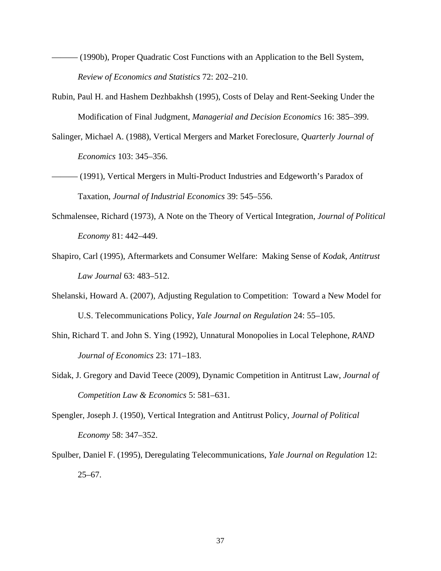- (1990b), Proper Quadratic Cost Functions with an Application to the Bell System, *Review of Economics and Statistics* 72: 202–210.
- Rubin, Paul H. and Hashem Dezhbakhsh (1995), Costs of Delay and Rent-Seeking Under the Modification of Final Judgment, *Managerial and Decision Economics* 16: 385–399.
- Salinger, Michael A. (1988), Vertical Mergers and Market Foreclosure, *Quarterly Journal of Economics* 103: 345–356.
- ——— (1991), Vertical Mergers in Multi-Product Industries and Edgeworth's Paradox of Taxation, *Journal of Industrial Economics* 39: 545–556.
- Schmalensee, Richard (1973), A Note on the Theory of Vertical Integration, *Journal of Political Economy* 81: 442–449.
- Shapiro, Carl (1995), Aftermarkets and Consumer Welfare: Making Sense of *Kodak*, *Antitrust Law Journal* 63: 483–512.
- Shelanski, Howard A. (2007), Adjusting Regulation to Competition: Toward a New Model for U.S. Telecommunications Policy, *Yale Journal on Regulation* 24: 55–105.
- Shin, Richard T. and John S. Ying (1992), Unnatural Monopolies in Local Telephone, *RAND Journal of Economics* 23: 171–183.
- Sidak, J. Gregory and David Teece (2009), Dynamic Competition in Antitrust Law, *Journal of Competition Law & Economics* 5: 581–631.
- Spengler, Joseph J. (1950), Vertical Integration and Antitrust Policy, *Journal of Political Economy* 58: 347–352.
- Spulber, Daniel F. (1995), Deregulating Telecommunications, *Yale Journal on Regulation* 12:  $25 - 67$ .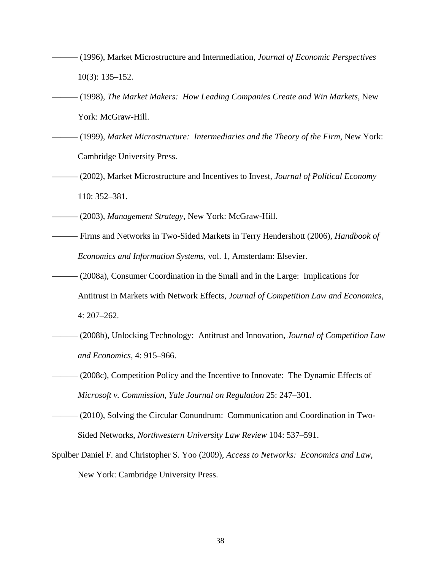- ——— (1996), Market Microstructure and Intermediation, *Journal of Economic Perspectives* 10(3): 135–152.
- ——— (1998), *The Market Makers: How Leading Companies Create and Win Markets*, New York: McGraw-Hill.
- ——— (1999), *Market Microstructure: Intermediaries and the Theory of the Firm*, New York: Cambridge University Press.
- ——— (2002), Market Microstructure and Incentives to Invest, *Journal of Political Economy* 110: 352–381.
- ——— (2003), *Management Strategy*, New York: McGraw-Hill.
- ——— Firms and Networks in Two-Sided Markets in Terry Hendershott (2006), *Handbook of Economics and Information Systems*, vol. 1, Amsterdam: Elsevier.
- ——— (2008a), Consumer Coordination in the Small and in the Large: Implications for Antitrust in Markets with Network Effects, *Journal of Competition Law and Economics*, 4: 207–262.
- ——— (2008b), Unlocking Technology: Antitrust and Innovation, *Journal of Competition Law and Economics*, 4: 915–966.
- ——— (2008c), Competition Policy and the Incentive to Innovate: The Dynamic Effects of *Microsoft v. Commission*, *Yale Journal on Regulation* 25: 247–301.
- -(2010), Solving the Circular Conundrum: Communication and Coordination in Two-Sided Networks, *Northwestern University Law Review* 104: 537–591.
- Spulber Daniel F. and Christopher S. Yoo (2009), *Access to Networks: Economics and Law*, New York: Cambridge University Press.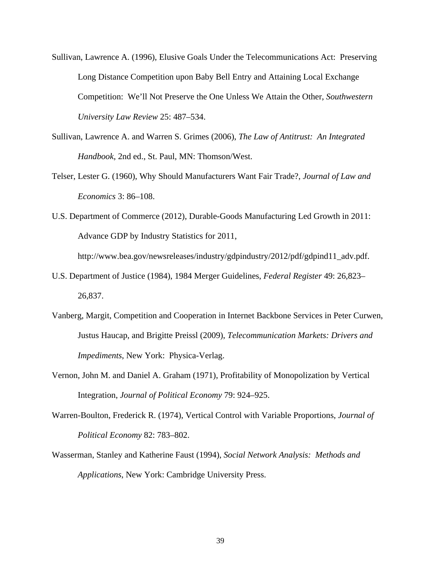- Sullivan, Lawrence A. (1996), Elusive Goals Under the Telecommunications Act: Preserving Long Distance Competition upon Baby Bell Entry and Attaining Local Exchange Competition: We'll Not Preserve the One Unless We Attain the Other, *Southwestern University Law Review* 25: 487–534.
- Sullivan, Lawrence A. and Warren S. Grimes (2006), *The Law of Antitrust: An Integrated Handbook*, 2nd ed., St. Paul, MN: Thomson/West.
- Telser, Lester G. (1960), Why Should Manufacturers Want Fair Trade?, *Journal of Law and Economics* 3: 86–108.
- U.S. Department of Commerce (2012), Durable-Goods Manufacturing Led Growth in 2011: Advance GDP by Industry Statistics for 2011, http://www.bea.gov/newsreleases/industry/gdpindustry/2012/pdf/gdpind11\_adv.pdf.
- U.S. Department of Justice (1984), 1984 Merger Guidelines, *Federal Register* 49: 26,823– 26,837.
- Vanberg, Margit, Competition and Cooperation in Internet Backbone Services in Peter Curwen, Justus Haucap, and Brigitte Preissl (2009), *Telecommunication Markets: Drivers and Impediments*, New York: Physica-Verlag.
- Vernon, John M. and Daniel A. Graham (1971), Profitability of Monopolization by Vertical Integration, *Journal of Political Economy* 79: 924–925.
- Warren-Boulton, Frederick R. (1974), Vertical Control with Variable Proportions, *Journal of Political Economy* 82: 783–802.
- Wasserman, Stanley and Katherine Faust (1994), *Social Network Analysis: Methods and Applications*, New York: Cambridge University Press.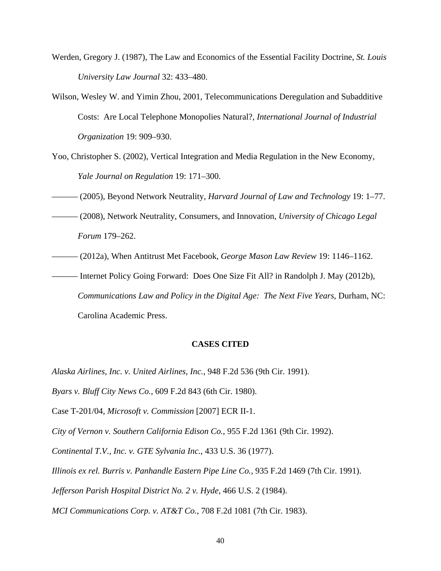- Werden, Gregory J. (1987), The Law and Economics of the Essential Facility Doctrine, *St. Louis University Law Journal* 32: 433–480.
- Wilson, Wesley W. and Yimin Zhou, 2001, Telecommunications Deregulation and Subadditive Costs: Are Local Telephone Monopolies Natural?, *International Journal of Industrial Organization* 19: 909–930.
- Yoo, Christopher S. (2002), Vertical Integration and Media Regulation in the New Economy, *Yale Journal on Regulation* 19: 171–300.
- ——— (2005), Beyond Network Neutrality, *Harvard Journal of Law and Technology* 19: 1–77.
- ——— (2008), Network Neutrality, Consumers, and Innovation, *University of Chicago Legal Forum* 179–262.
- ——— (2012a), When Antitrust Met Facebook, *George Mason Law Review* 19: 1146–1162.

——— Internet Policy Going Forward: Does One Size Fit All? in Randolph J. May (2012b), *Communications Law and Policy in the Digital Age: The Next Five Years*, Durham, NC: Carolina Academic Press.

#### **CASES CITED**

*Alaska Airlines, Inc. v. United Airlines, Inc.*, 948 F.2d 536 (9th Cir. 1991).

*Byars v. Bluff City News Co.*, 609 F.2d 843 (6th Cir. 1980).

Case T-201/04, *Microsoft v. Commission* [2007] ECR II-1.

*City of Vernon v. Southern California Edison Co.*, 955 F.2d 1361 (9th Cir. 1992).

*Continental T.V., Inc. v. GTE Sylvania Inc.*, 433 U.S. 36 (1977).

*Illinois ex rel. Burris v. Panhandle Eastern Pipe Line Co.*, 935 F.2d 1469 (7th Cir. 1991).

*Jefferson Parish Hospital District No. 2 v. Hyde*, 466 U.S. 2 (1984).

*MCI Communications Corp. v. AT&T Co.*, 708 F.2d 1081 (7th Cir. 1983).